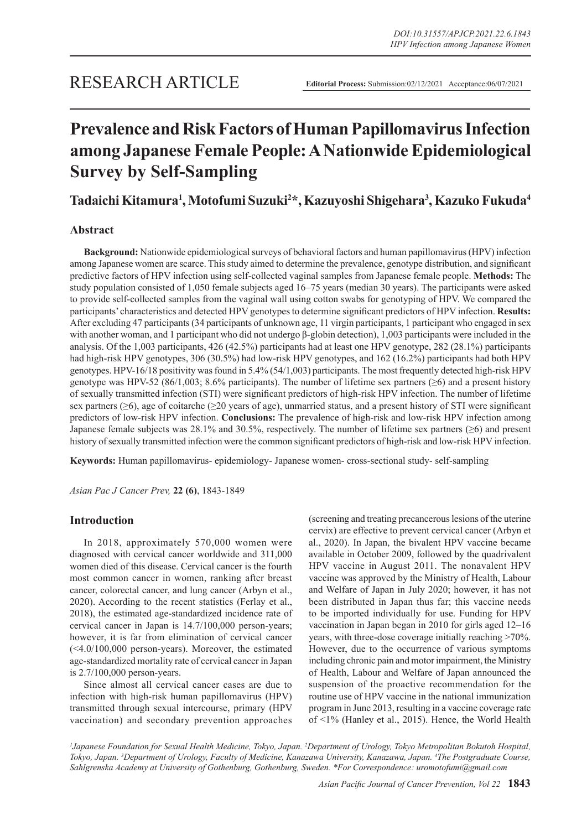# **Prevalence and Risk Factors of Human Papillomavirus Infection among Japanese Female People: A Nationwide Epidemiological Survey by Self-Sampling**

**Tadaichi Kitamura1 , Motofumi Suzuki2 \*, Kazuyoshi Shigehara3 , Kazuko Fukuda4**

# **Abstract**

**Background:** Nationwide epidemiological surveys of behavioral factors and human papillomavirus (HPV) infection among Japanese women are scarce. This study aimed to determine the prevalence, genotype distribution, and significant predictive factors of HPV infection using self-collected vaginal samples from Japanese female people. **Methods:** The study population consisted of 1,050 female subjects aged 16–75 years (median 30 years). The participants were asked to provide self-collected samples from the vaginal wall using cotton swabs for genotyping of HPV. We compared the participants' characteristics and detected HPV genotypes to determine significant predictors of HPV infection. **Results:**  After excluding 47 participants (34 participants of unknown age, 11 virgin participants, 1 participant who engaged in sex with another woman, and 1 participant who did not undergo β-globin detection), 1,003 participants were included in the analysis. Of the 1,003 participants, 426 (42.5%) participants had at least one HPV genotype, 282 (28.1%) participants had high-risk HPV genotypes, 306 (30.5%) had low-risk HPV genotypes, and 162 (16.2%) participants had both HPV genotypes. HPV-16/18 positivity was found in 5.4% (54/1,003) participants. The most frequently detected high-risk HPV genotype was HPV-52 (86/1,003; 8.6% participants). The number of lifetime sex partners ( $\geq 6$ ) and a present history of sexually transmitted infection (STI) were significant predictors of high-risk HPV infection. The number of lifetime sex partners (≥6), age of coitarche (≥20 years of age), unmarried status, and a present history of STI were significant predictors of low-risk HPV infection. **Conclusions:** The prevalence of high-risk and low-risk HPV infection among Japanese female subjects was 28.1% and 30.5%, respectively. The number of lifetime sex partners (≥6) and present history of sexually transmitted infection were the common significant predictors of high-risk and low-risk HPV infection.

**Keywords:** Human papillomavirus- epidemiology- Japanese women- cross-sectional study- self-sampling

*Asian Pac J Cancer Prev,* **22 (6)**, 1843-1849

# **Introduction**

In 2018, approximately 570,000 women were diagnosed with cervical cancer worldwide and 311,000 women died of this disease. Cervical cancer is the fourth most common cancer in women, ranking after breast cancer, colorectal cancer, and lung cancer (Arbyn et al., 2020). According to the recent statistics (Ferlay et al., 2018), the estimated age-standardized incidence rate of cervical cancer in Japan is 14.7/100,000 person-years; however, it is far from elimination of cervical cancer (<4.0/100,000 person-years). Moreover, the estimated age-standardized mortality rate of cervical cancer in Japan is 2.7/100,000 person-years.

Since almost all cervical cancer cases are due to infection with high-risk human papillomavirus (HPV) transmitted through sexual intercourse, primary (HPV vaccination) and secondary prevention approaches (screening and treating precancerous lesions of the uterine cervix) are effective to prevent cervical cancer (Arbyn et al., 2020). In Japan, the bivalent HPV vaccine became available in October 2009, followed by the quadrivalent HPV vaccine in August 2011. The nonavalent HPV vaccine was approved by the Ministry of Health, Labour and Welfare of Japan in July 2020; however, it has not been distributed in Japan thus far; this vaccine needs to be imported individually for use. Funding for HPV vaccination in Japan began in 2010 for girls aged 12–16 years, with three-dose coverage initially reaching >70%. However, due to the occurrence of various symptoms including chronic pain and motor impairment, the Ministry of Health, Labour and Welfare of Japan announced the suspension of the proactive recommendation for the routine use of HPV vaccine in the national immunization program in June 2013, resulting in a vaccine coverage rate of <1% (Hanley et al., 2015). Hence, the World Health

<sup>1</sup>Japanese Foundation for Sexual Health Medicine, Tokyo, Japan. <sup>2</sup>Department of Urology, Tokyo Metropolitan Bokutoh Hospital, *Tokyo, Japan. 3 Department of Urology, Faculty of Medicine, Kanazawa University, Kanazawa, Japan. 4 The Postgraduate Course, Sahlgrenska Academy at University of Gothenburg, Gothenburg, Sweden. \*For Correspondence: uromotofumi@gmail.com*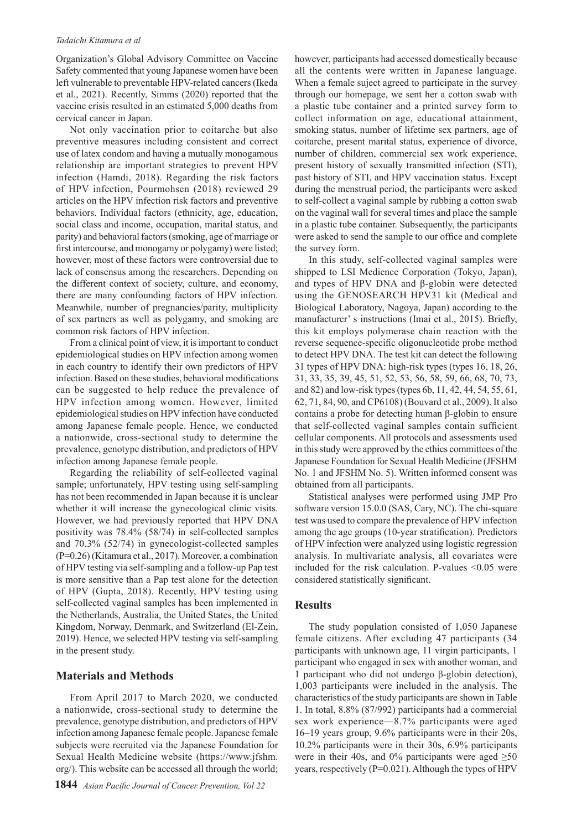#### *Tadaichi Kitamura et al*

Organization's Global Advisory Committee on Vaccine Safety commented that young Japanese women have been left vulnerable to preventable HPV-related cancers (Ikeda et al., 2021). Recently, Simms (2020) reported that the vaccine crisis resulted in an estimated 5,000 deaths from cervical cancer in Japan.

Not only vaccination prior to coitarche but also preventive measures including consistent and correct use of latex condom and having a mutually monogamous relationship are important strategies to prevent HPV infection (Hamdi, 2018). Regarding the risk factors of HPV infection, Pourmohsen (2018) reviewed 29 articles on the HPV infection risk factors and preventive behaviors. Individual factors (ethnicity, age, education, social class and income, occupation, marital status, and parity) and behavioral factors (smoking, age of marriage or first intercourse, and monogamy or polygamy) were listed; however, most of these factors were controversial due to lack of consensus among the researchers. Depending on the different context of society, culture, and economy, there are many confounding factors of HPV infection. Meanwhile, number of pregnancies/parity, multiplicity of sex partners as well as polygamy, and smoking are common risk factors of HPV infection.

From a clinical point of view, it is important to conduct epidemiological studies on HPV infection among women in each country to identify their own predictors of HPV infection. Based on these studies, behavioral modifications can be suggested to help reduce the prevalence of HPV infection among women. However, limited epidemiological studies on HPV infection have conducted among Japanese female people. Hence, we conducted a nationwide, cross-sectional study to determine the prevalence, genotype distribution, and predictors of HPV infection among Japanese female people.

Regarding the reliability of self-collected vaginal sample; unfortunately, HPV testing using self-sampling has not been recommended in Japan because it is unclear whether it will increase the gynecological clinic visits. However, we had previously reported that HPV DNA positivity was 78.4% (58/74) in self-collected samples and 70.3% (52/74) in gynecologist-collected samples (P=0.26) (Kitamura et al., 2017). Moreover, a combination of HPV testing via self-sampling and a follow-up Pap test is more sensitive than a Pap test alone for the detection of HPV (Gupta, 2018). Recently, HPV testing using self-collected vaginal samples has been implemented in the Netherlands, Australia, the United States, the United Kingdom, Norway, Denmark, and Switzerland (El-Zein, 2019). Hence, we selected HPV testing via self-sampling in the present study.

## **Materials and Methods**

From April 2017 to March 2020, we conducted a nationwide, cross-sectional study to determine the prevalence, genotype distribution, and predictors of HPV infection among Japanese female people. Japanese female subjects were recruited via the Japanese Foundation for Sexual Health Medicine website (https://www.jfshm. org/). This website can be accessed all through the world;

however, participants had accessed domestically because all the contents were written in Japanese language. When a female suject agreed to participate in the survey through our homepage, we sent her a cotton swab with a plastic tube container and a printed survey form to collect information on age, educational attainment, smoking status, number of lifetime sex partners, age of coitarche, present marital status, experience of divorce, number of children, commercial sex work experience, present history of sexually transmitted infection (STI), past history of STI, and HPV vaccination status. Except during the menstrual period, the participants were asked to self-collect a vaginal sample by rubbing a cotton swab on the vaginal wall for several times and place the sample in a plastic tube container. Subsequently, the participants were asked to send the sample to our office and complete the survey form.

In this study, self-collected vaginal samples were shipped to LSI Medience Corporation (Tokyo, Japan), and types of HPV DNA and β-globin were detected using the GENOSEARCH HPV31 kit (Medical and Biological Laboratory, Nagoya, Japan) according to the manufacturer' s instructions (Imai et al., 2015). Briefly, this kit employs polymerase chain reaction with the reverse sequence-specific oligonucleotide probe method to detect HPV DNA. The test kit can detect the following 31 types of HPV DNA: high-risk types (types 16, 18, 26, 31, 33, 35, 39, 45, 51, 52, 53, 56, 58, 59, 66, 68, 70, 73, and 82) and low-risk types (types 6b, 11, 42, 44, 54, 55, 61, 62, 71, 84, 90, and CP6108) (Bouvard et al., 2009). It also contains a probe for detecting human β-globin to ensure that self-collected vaginal samples contain sufficient cellular components. All protocols and assessments used in this study were approved by the ethics committees of the Japanese Foundation for Sexual Health Medicine (JFSHM No. 1 and JFSHM No. 5). Written informed consent was obtained from all participants.

Statistical analyses were performed using JMP Pro software version 15.0.0 (SAS, Cary, NC). The chi-square test was used to compare the prevalence of HPV infection among the age groups (10-year stratification). Predictors of HPV infection were analyzed using logistic regression analysis. In multivariate analysis, all covariates were included for the risk calculation. P-values  $\leq 0.05$  were considered statistically significant.

## **Results**

The study population consisted of 1,050 Japanese female citizens. After excluding 47 participants (34 participants with unknown age, 11 virgin participants, 1 participant who engaged in sex with another woman, and 1 participant who did not undergo β-globin detection), 1,003 participants were included in the analysis. The characteristics of the study participants are shown in Table 1. In total, 8.8% (87/992) participants had a commercial sex work experience—8.7% participants were aged 16–19 years group, 9.6% participants were in their 20s, 10.2% participants were in their 30s, 6.9% participants were in their 40s, and 0% participants were aged  $\geq 50$ years, respectively (P=0.021). Although the types of HPV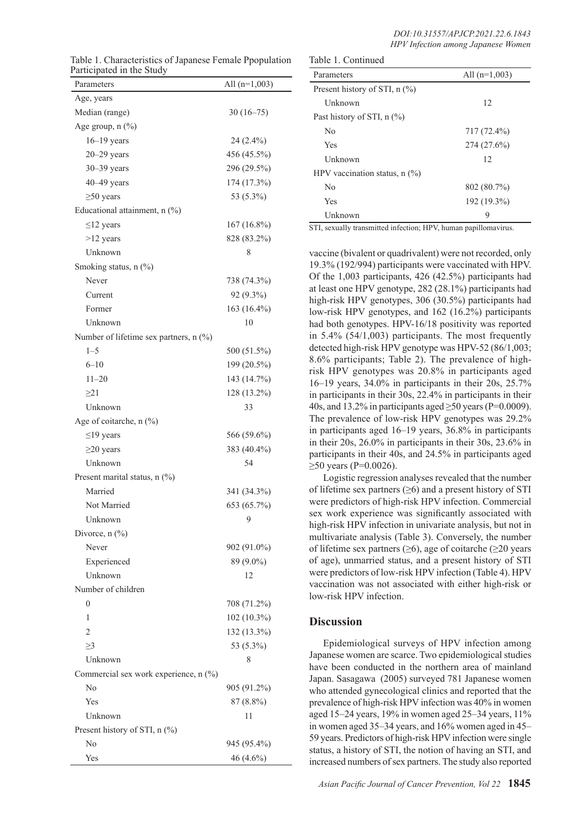|                           | Table 1. Characteristics of Japanese Female Ppopulation |
|---------------------------|---------------------------------------------------------|
| Participated in the Study |                                                         |

| $\mathfrak{m}$ and $\mathfrak{m}$ and $\mathfrak{m}$ and $\mathfrak{m}$<br>Parameters | All $(n=1,003)$ |
|---------------------------------------------------------------------------------------|-----------------|
| Age, years                                                                            |                 |
| Median (range)                                                                        | $30(16-75)$     |
| Age group, $n$ $(\%)$                                                                 |                 |
| $16-19$ years                                                                         | 24 (2.4%)       |
| $20 - 29$ years                                                                       | 456 (45.5%)     |
| $30 - 39$ years                                                                       | 296 (29.5%)     |
| $40 - 49$ years                                                                       | 174 (17.3%)     |
| $\geq$ 50 years                                                                       | 53 (5.3%)       |
| Educational attainment, n (%)                                                         |                 |
| $\leq$ 12 years                                                                       | 167 (16.8%)     |
| $>12$ years                                                                           | 828 (83.2%)     |
| Unknown                                                                               | 8               |
| Smoking status, $n$ $(\%)$                                                            |                 |
| Never                                                                                 | 738 (74.3%)     |
| Current                                                                               | 92 (9.3%)       |
| Former                                                                                | 163 (16.4%)     |
| Unknown                                                                               | 10              |
| Number of lifetime sex partners, n (%)                                                |                 |
| $1 - 5$                                                                               | 500 (51.5%)     |
| $6 - 10$                                                                              | 199 (20.5%)     |
| $11 - 20$                                                                             | 143 (14.7%)     |
| $\geq$ 21                                                                             | 128 (13.2%)     |
| Unknown                                                                               | 33              |
| Age of coitarche, n (%)                                                               |                 |
| $\leq$ 19 years                                                                       | 566 (59.6%)     |
| $\geq$ 20 years                                                                       | 383 (40.4%)     |
| Unknown                                                                               | 54              |
| Present marital status, n (%)                                                         |                 |
| Married                                                                               | 341 (34.3%)     |
| Not Married                                                                           | 653 (65.7%)     |
| Unknown                                                                               | 9               |
| Divorce, $n$ $(\%)$                                                                   |                 |
| Never                                                                                 | 902 (91.0%)     |
| Experienced                                                                           | 89 (9.0%)       |
| Unknown                                                                               | 12              |
| Number of children                                                                    |                 |
| $\overline{0}$                                                                        | 708 (71.2%)     |
| 1                                                                                     | 102 (10.3%)     |
| $\overline{2}$                                                                        | 132 (13.3%)     |
| $\geq$ 3                                                                              | 53 (5.3%)       |
| Unknown                                                                               | 8               |
| Commercial sex work experience, n (%)                                                 |                 |
| No                                                                                    | 905 (91.2%)     |
| Yes                                                                                   | 87 (8.8%)       |
| Unknown                                                                               | 11              |
| Present history of STI, n (%)                                                         |                 |
| No                                                                                    | 945 (95.4%)     |
| Yes                                                                                   | 46 (4.6%)       |

| Table 1. Characteristics of Japanese Female Ppopulation<br>Participated in the Study |                 | Table 1. Continued              |                 |  |
|--------------------------------------------------------------------------------------|-----------------|---------------------------------|-----------------|--|
|                                                                                      |                 | Parameters                      | All $(n=1,003)$ |  |
| Parameters                                                                           | All $(n=1,003)$ | Present history of STI, $n$ (%) |                 |  |
| Age, years                                                                           |                 | Unknown                         | 12              |  |
| Median (range)                                                                       | $30(16-75)$     | Past history of STI, $n$ (%)    |                 |  |
| Age group, $n$ $(\%)$                                                                |                 | N <sub>0</sub>                  | 717 (72.4%)     |  |
| $16-19$ years                                                                        | $24(2.4\%)$     | Yes                             | $274(27.6\%)$   |  |
| $20 - 29$ years                                                                      | $456(45.5\%)$   | Unknown                         | 12              |  |
| $30 - 39$ years                                                                      | 296 (29.5%)     | HPV vaccination status, $n$ (%) |                 |  |
| $40 - 49$ years                                                                      | $174(17.3\%)$   | No                              | 802(80.7%)      |  |
| $\geq 50$ years                                                                      | 53 (5.3%)       | Yes                             | 192 (19.3%)     |  |
| Educational attainment, $n$ (%)                                                      |                 | Unknown                         | 9               |  |
| $\sim$ 12 years                                                                      | 167/1600        |                                 |                 |  |

STI, sexually transmitted infection; HPV, human papillomavirus.

vaccine (bivalent or quadrivalent) were not recorded, only 19.3% (192/994) participants were vaccinated with HPV. Of the 1,003 participants, 426 (42.5%) participants had at least one HPV genotype, 282 (28.1%) participants had high-risk HPV genotypes, 306 (30.5%) participants had low-risk HPV genotypes, and 162 (16.2%) participants had both genotypes. HPV-16/18 positivity was reported in 5.4% (54/1,003) participants. The most frequently detected high-risk HPV genotype was HPV-52 (86/1,003; 8.6% participants; Table 2). The prevalence of highrisk HPV genotypes was 20.8% in participants aged 16–19 years, 34.0% in participants in their 20s, 25.7% in participants in their 30s, 22.4% in participants in their 40s, and 13.2% in participants aged  $\geq$ 50 years (P=0.0009). The prevalence of low-risk HPV genotypes was 29.2% in participants aged 16–19 years, 36.8% in participants in their 20s, 26.0% in participants in their 30s, 23.6% in participants in their 40s, and 24.5% in participants aged  $≥$ 50 years (P=0.0026).

Logistic regression analyses revealed that the number of lifetime sex partners  $(\geq 6)$  and a present history of STI were predictors of high-risk HPV infection. Commercial sex work experience was significantly associated with high-risk HPV infection in univariate analysis, but not in multivariate analysis (Table 3). Conversely, the number of lifetime sex partners ( $\geq 6$ ), age of coitarche ( $\geq 20$  years of age), unmarried status, and a present history of STI were predictors of low-risk HPV infection (Table 4). HPV vaccination was not associated with either high-risk or low-risk HPV infection.

## **Discussion**

Epidemiological surveys of HPV infection among Japanese women are scarce. Two epidemiological studies have been conducted in the northern area of mainland Japan. Sasagawa (2005) surveyed 781 Japanese women who attended gynecological clinics and reported that the prevalence of high-risk HPV infection was 40% in women aged 15–24 years, 19% in women aged 25–34 years, 11% in women aged 35–34 years, and 16% women aged in 45– 59 years. Predictors of high-risk HPV infection were single status, a history of STI, the notion of having an STI, and increased numbers of sex partners. The study also reported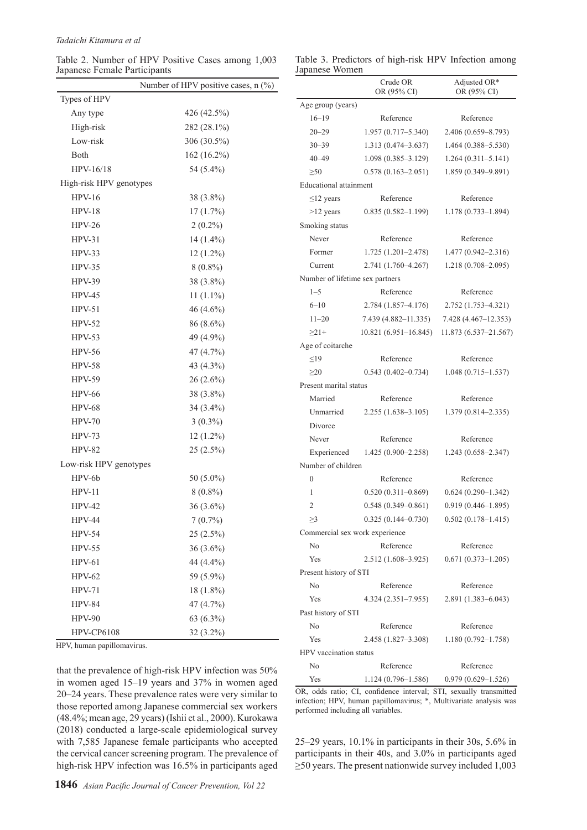Table 2. Number of HPV Positive Cases among 1,003 Japanese Female Participants

|                | Table 3. Predictors of high-risk HPV Infection among |  |  |  |
|----------------|------------------------------------------------------|--|--|--|
| Japanese Women |                                                      |  |  |  |

|                         | Number of HPV positive cases, $n$ (%) |
|-------------------------|---------------------------------------|
| Types of HPV            |                                       |
| Any type                | 426 (42.5%)                           |
| High-risk               | 282 (28.1%)                           |
| Low-risk                | 306 (30.5%)                           |
| Both                    | 162 (16.2%)                           |
| HPV-16/18               | 54 (5.4%)                             |
| High-risk HPV genotypes |                                       |
| $HPV-16$                | 38 (3.8%)                             |
| <b>HPV-18</b>           | 17(1.7%)                              |
| $HPV-26$                | $2(0.2\%)$                            |
| $HPV-31$                | 14 (1.4%)                             |
| $HPV-33$                | $12(1.2\%)$                           |
| $HPV-35$                | $8(0.8\%)$                            |
| $HPV-39$                | 38 (3.8%)                             |
| <b>HPV-45</b>           | $11(1.1\%)$                           |
| $HPV-51$                | 46 (4.6%)                             |
| $HPV-52$                | 86 (8.6%)                             |
| $HPV-53$                | 49 (4.9%)                             |
| <b>HPV-56</b>           | 47 (4.7%)                             |
| <b>HPV-58</b>           | 43 (4.3%)                             |
| <b>HPV-59</b>           | $26(2.6\%)$                           |
| <b>HPV-66</b>           | 38 (3.8%)                             |
| <b>HPV-68</b>           | 34 (3.4%)                             |
| <b>HPV-70</b>           | $3(0.3\%)$                            |
| $HPV-73$                | $12(1.2\%)$                           |
| <b>HPV-82</b>           | $25(2.5\%)$                           |
| Low-risk HPV genotypes  |                                       |
| HPV-6b                  | 50 (5.0%)                             |
| $HPV-11$                | $8(0.8\%)$                            |
| $HPV-42$                | $36(3.6\%)$                           |
| <b>HPV-44</b>           | 7(0.7%)                               |
| <b>HPV-54</b>           | 25 (2.5%)                             |
| <b>HPV-55</b>           | $36(3.6\%)$                           |
| $HPV-61$                | 44 (4.4%)                             |
| $HPV-62$                | 59 (5.9%)                             |
| $HPV-71$                | 18 (1.8%)                             |
| <b>HPV-84</b>           | 47 (4.7%)                             |
| $HPV-90$                | $63(6.3\%)$                           |
| <b>HPV-CP6108</b>       | $32(3.2\%)$                           |

HPV, human papillomavirus.

that the prevalence of high-risk HPV infection was 50% in women aged 15–19 years and 37% in women aged 20–24 years. These prevalence rates were very similar to those reported among Japanese commercial sex workers (48.4%; mean age, 29 years) (Ishii et al., 2000). Kurokawa (2018) conducted a large-scale epidemiological survey with 7,585 Japanese female participants who accepted the cervical cancer screening program. The prevalence of high-risk HPV infection was 16.5% in participants aged

|                                 | Crude OR<br>OR (95% CI)                                            | Adjusted OR*<br>OR (95% CI) |
|---------------------------------|--------------------------------------------------------------------|-----------------------------|
| Age group (years)               |                                                                    |                             |
| $16 - 19$                       | Reference                                                          | Reference                   |
| $20 - 29$                       | $1.957(0.717 - 5.340)$                                             | 2.406 (0.659-8.793)         |
| $30 - 39$                       | $1.313(0.474 - 3.637)$                                             | $1.464(0.388 - 5.530)$      |
| $40 - 49$                       | $1.098(0.385 - 3.129)$                                             | $1.264(0.311 - 5.141)$      |
| $\geq 50$                       | $0.578(0.163 - 2.051)$                                             | 1.859 (0.349-9.891)         |
| <b>Educational attainment</b>   |                                                                    |                             |
| $\leq$ 12 years                 | Reference                                                          | Reference                   |
| $>12$ years                     | $0.835(0.582 - 1.199)$                                             | 1.178 (0.733-1.894)         |
| Smoking status                  |                                                                    |                             |
| Never                           | Reference                                                          | Reference                   |
| Former                          | $1.725(1.201 - 2.478)$                                             | 1.477 (0.942-2.316)         |
| Current                         | 2.741 (1.760-4.267)                                                | 1.218 (0.708-2.095)         |
| Number of lifetime sex partners |                                                                    |                             |
| $1 - 5$                         | Reference                                                          | Reference                   |
| $6 - 10$                        | $2.784(1.857-4.176)$                                               | 2.752 (1.753–4.321)         |
| $11 - 20$                       | 7.439 (4.882–11.335)                                               | 7.428 (4.467-12.353)        |
| $\geq$ 21+                      | $10.821(6.951-16.845)$                                             | 11.873 (6.537-21.567)       |
| Age of coitarche                |                                                                    |                             |
| $\leq19$                        | Reference                                                          | Reference                   |
| >20                             | $0.543(0.402 - 0.734)$                                             | $1.048(0.715 - 1.537)$      |
| Present marital status          |                                                                    |                             |
| Married                         | Reference                                                          | Reference                   |
| Unmarried                       | 2.255 (1.638-3.105)                                                | 1.379 (0.814-2.335)         |
| Divorce                         |                                                                    |                             |
| Never                           | Reference                                                          | Reference                   |
| Experienced                     | $1.425(0.900 - 2.258)$                                             | 1.243 (0.658-2.347)         |
| Number of children              |                                                                    |                             |
| 0                               | Reference                                                          | Reference                   |
| 1                               | $0.520(0.311 - 0.869)$                                             | $0.624(0.290 - 1.342)$      |
| 2                               | $0.548(0.349 - 0.861)$                                             | $0.919(0.446 - 1.895)$      |
| $\geq$ 3                        | $0.325(0.144 - 0.730)$                                             | $0.502(0.178 - 1.415)$      |
| Commercial sex work experience  |                                                                    |                             |
| No                              | Reference                                                          | Reference                   |
| Yes                             | 2.512 (1.608-3.925)                                                | $0.671(0.373 - 1.205)$      |
| Present history of STI          |                                                                    |                             |
| No                              | Reference                                                          | Reference                   |
| Yes                             | $4.324(2.351 - 7.955)$                                             | 2.891 (1.383-6.043)         |
| Past history of STI             |                                                                    |                             |
| No                              | Reference                                                          | Reference                   |
| Yes                             | 2.458 (1.827–3.308)                                                | $1.180(0.792 - 1.758)$      |
| HPV vaccination status          |                                                                    |                             |
| No                              | Reference                                                          | Reference                   |
| Yes                             | $1.124(0.796-1.586)$ $0.979(0.629-1.526)$                          |                             |
|                                 | OR, odds ratio; CI, confidence interval; STI, sexually transmitted |                             |

infection; HPV, human papillomavirus; \*, Multivariate analysis was performed including all variables.

25–29 years, 10.1% in participants in their 30s, 5.6% in participants in their 40s, and 3.0% in participants aged  $\geq$ 50 years. The present nationwide survey included 1,003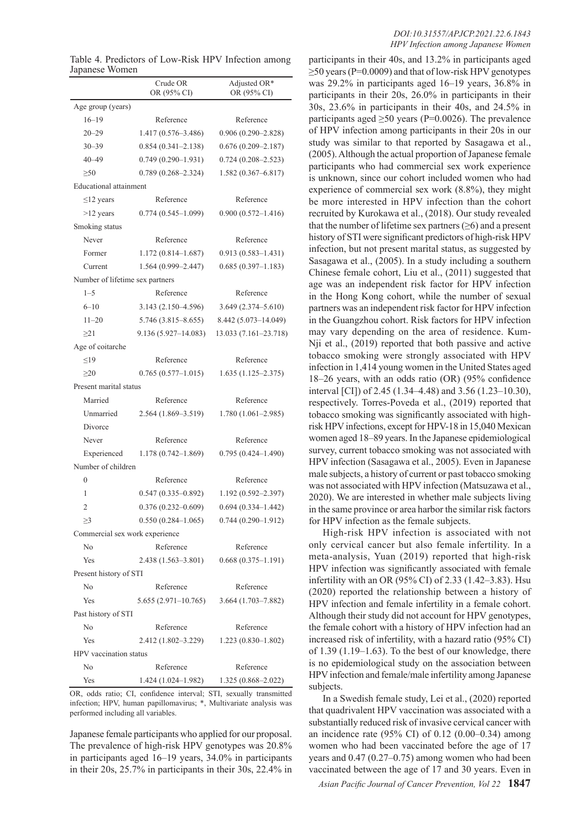|                                 | Crude OR<br>OR (95% CI) | Adjusted OR*<br>OR (95% CI) |  |  |
|---------------------------------|-------------------------|-----------------------------|--|--|
| Age group (years)               |                         |                             |  |  |
| $16 - 19$                       | Reference               | Reference                   |  |  |
| $20 - 29$                       | $1.417(0.576 - 3.486)$  | $0.906(0.290 - 2.828)$      |  |  |
| $30 - 39$                       | $0.854(0.341 - 2.138)$  | $0.676(0.209 - 2.187)$      |  |  |
| $40 - 49$                       | $0.749(0.290 - 1.931)$  | $0.724(0.208 - 2.523)$      |  |  |
| $\geq 50$                       | $0.789(0.268 - 2.324)$  | $1.582(0.367 - 6.817)$      |  |  |
| <b>Educational</b> attainment   |                         |                             |  |  |
| $\leq$ 12 years                 | Reference               | Reference                   |  |  |
| $>12$ years                     | $0.774(0.545-1.099)$    | $0.900(0.572 - 1.416)$      |  |  |
| Smoking status                  |                         |                             |  |  |
| Never                           | Reference               | Reference                   |  |  |
| Former                          | $1.172(0.814-1.687)$    | $0.913(0.583 - 1.431)$      |  |  |
| Current                         | 1.564 (0.999-2.447)     | $0.685(0.397 - 1.183)$      |  |  |
| Number of lifetime sex partners |                         |                             |  |  |
| $1 - 5$                         | Reference               | Reference                   |  |  |
| $6 - 10$                        | $3.143(2.150-4.596)$    | $3.649(2.374 - 5.610)$      |  |  |
| $11 - 20$                       | $5.746(3.815 - 8.655)$  | 8.442 (5.073-14.049)        |  |  |
| >21                             | $9.136(5.927-14.083)$   | 13.033 (7.161-23.718)       |  |  |
| Age of coitarche                |                         |                             |  |  |
| $\leq$ 19                       | Reference               | Reference                   |  |  |
| $\geq$ 20                       | $0.765(0.577-1.015)$    | $1.635(1.125 - 2.375)$      |  |  |
| Present marital status          |                         |                             |  |  |
| Married                         | Reference               | Reference                   |  |  |
| Unmarried                       | $2.564(1.869-3.519)$    | $1.780(1.061 - 2.985)$      |  |  |
| Divorce                         |                         |                             |  |  |
| Never                           | Reference               | Reference                   |  |  |
| Experienced                     | 1.178 (0.742-1.869)     | $0.795(0.424 - 1.490)$      |  |  |
| Number of children              |                         |                             |  |  |
| $\boldsymbol{0}$                | Reference               | Reference                   |  |  |
| 1                               | $0.547(0.335 - 0.892)$  | 1.192 (0.592-2.397)         |  |  |
| 2                               | $0.376(0.232 - 0.609)$  | $0.694(0.334 - 1.442)$      |  |  |
| $\geq$ 3                        | $0.550(0.284 - 1.065)$  | $0.744(0.290 - 1.912)$      |  |  |
| Commercial sex work experience  |                         |                             |  |  |
| No                              | Reference               | Reference                   |  |  |
| Yes                             | $2.438(1.563 - 3.801)$  | $0.668(0.375 - 1.191)$      |  |  |
| Present history of STI          |                         |                             |  |  |
| No                              | Reference               | Reference                   |  |  |
| Yes                             | $5.655(2.971-10.765)$   | 3.664 (1.703-7.882)         |  |  |
| Past history of STI             |                         |                             |  |  |
| N <sub>o</sub>                  | Reference               | Reference                   |  |  |
| Yes                             | 2.412 (1.802–3.229)     | $1.223(0.830-1.802)$        |  |  |
| HPV vaccination status          |                         |                             |  |  |
| No                              | Reference               | Reference                   |  |  |
| Yes                             | 1.424 (1.024–1.982)     | 1.325 (0.868-2.022)         |  |  |

Table 4. Predictors of Low-Risk HPV Infection among Japanese Women

OR, odds ratio; CI, confidence interval; STI, sexually transmitted infection; HPV, human papillomavirus; \*, Multivariate analysis was performed including all variables.

Japanese female participants who applied for our proposal. The prevalence of high-risk HPV genotypes was 20.8% in participants aged 16–19 years, 34.0% in participants in their 20s, 25.7% in participants in their 30s, 22.4% in

participants in their 40s, and 13.2% in participants aged  $\geq$ 50 years (P=0.0009) and that of low-risk HPV genotypes was 29.2% in participants aged 16–19 years, 36.8% in participants in their 20s, 26.0% in participants in their 30s, 23.6% in participants in their 40s, and 24.5% in participants aged  $\geq 50$  years (P=0.0026). The prevalence of HPV infection among participants in their 20s in our study was similar to that reported by Sasagawa et al., (2005). Although the actual proportion of Japanese female participants who had commercial sex work experience is unknown, since our cohort included women who had experience of commercial sex work (8.8%), they might be more interested in HPV infection than the cohort recruited by Kurokawa et al., (2018). Our study revealed that the number of lifetime sex partners  $(\geq 6)$  and a present history of STI were significant predictors of high-risk HPV infection, but not present marital status, as suggested by Sasagawa et al., (2005). In a study including a southern Chinese female cohort, Liu et al., (2011) suggested that age was an independent risk factor for HPV infection in the Hong Kong cohort, while the number of sexual partners was an independent risk factor for HPV infection in the Guangzhou cohort. Risk factors for HPV infection may vary depending on the area of residence. Kum-Nji et al., (2019) reported that both passive and active tobacco smoking were strongly associated with HPV infection in 1,414 young women in the United States aged 18–26 years, with an odds ratio (OR) (95% confidence interval [CI]) of 2.45 (1.34–4.48) and 3.56 (1.23–10.30), respectively. Torres-Poveda et al., (2019) reported that tobacco smoking was significantly associated with highrisk HPV infections, except for HPV-18 in 15,040 Mexican women aged 18–89 years. In the Japanese epidemiological survey, current tobacco smoking was not associated with HPV infection (Sasagawa et al., 2005). Even in Japanese male subjects, a history of current or past tobacco smoking was not associated with HPV infection (Matsuzawa et al., 2020). We are interested in whether male subjects living in the same province or area harbor the similar risk factors for HPV infection as the female subjects.

High-risk HPV infection is associated with not only cervical cancer but also female infertility. In a meta-analysis, Yuan (2019) reported that high-risk HPV infection was significantly associated with female infertility with an OR (95% CI) of 2.33 (1.42–3.83). Hsu (2020) reported the relationship between a history of HPV infection and female infertility in a female cohort. Although their study did not account for HPV genotypes, the female cohort with a history of HPV infection had an increased risk of infertility, with a hazard ratio (95% CI) of 1.39 (1.19–1.63). To the best of our knowledge, there is no epidemiological study on the association between HPV infection and female/male infertility among Japanese subjects.

In a Swedish female study, Lei et al., (2020) reported that quadrivalent HPV vaccination was associated with a substantially reduced risk of invasive cervical cancer with an incidence rate (95% CI) of 0.12 (0.00–0.34) among women who had been vaccinated before the age of 17 years and 0.47 (0.27–0.75) among women who had been vaccinated between the age of 17 and 30 years. Even in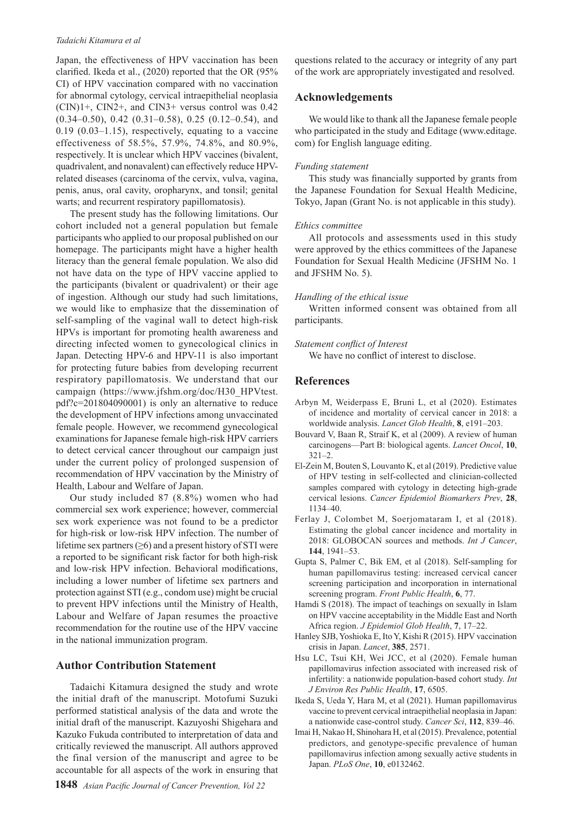#### *Tadaichi Kitamura et al*

Japan, the effectiveness of HPV vaccination has been clarified. Ikeda et al., (2020) reported that the OR (95% CI) of HPV vaccination compared with no vaccination for abnormal cytology, cervical intraepithelial neoplasia (CIN)1+, CIN2+, and CIN3+ versus control was 0.42 (0.34–0.50), 0.42 (0.31–0.58), 0.25 (0.12–0.54), and 0.19 (0.03–1.15), respectively, equating to a vaccine effectiveness of 58.5%, 57.9%, 74.8%, and 80.9%, respectively. It is unclear which HPV vaccines (bivalent, quadrivalent, and nonavalent) can effectively reduce HPVrelated diseases (carcinoma of the cervix, vulva, vagina, penis, anus, oral cavity, oropharynx, and tonsil; genital warts; and recurrent respiratory papillomatosis).

The present study has the following limitations. Our cohort included not a general population but female participants who applied to our proposal published on our homepage. The participants might have a higher health literacy than the general female population. We also did not have data on the type of HPV vaccine applied to the participants (bivalent or quadrivalent) or their age of ingestion. Although our study had such limitations, we would like to emphasize that the dissemination of self-sampling of the vaginal wall to detect high-risk HPVs is important for promoting health awareness and directing infected women to gynecological clinics in Japan. Detecting HPV-6 and HPV-11 is also important for protecting future babies from developing recurrent respiratory papillomatosis. We understand that our campaign (https://www.jfshm.org/doc/H30\_HPVtest. pdf?c=201804090001) is only an alternative to reduce the development of HPV infections among unvaccinated female people. However, we recommend gynecological examinations for Japanese female high-risk HPV carriers to detect cervical cancer throughout our campaign just under the current policy of prolonged suspension of recommendation of HPV vaccination by the Ministry of Health, Labour and Welfare of Japan.

Our study included 87 (8.8%) women who had commercial sex work experience; however, commercial sex work experience was not found to be a predictor for high-risk or low-risk HPV infection. The number of lifetime sex partners (≥6) and a present history of STI were a reported to be significant risk factor for both high-risk and low-risk HPV infection. Behavioral modifications, including a lower number of lifetime sex partners and protection against STI (e.g., condom use) might be crucial to prevent HPV infections until the Ministry of Health, Labour and Welfare of Japan resumes the proactive recommendation for the routine use of the HPV vaccine in the national immunization program.

# **Author Contribution Statement**

Tadaichi Kitamura designed the study and wrote the initial draft of the manuscript. Motofumi Suzuki performed statistical analysis of the data and wrote the initial draft of the manuscript. Kazuyoshi Shigehara and Kazuko Fukuda contributed to interpretation of data and critically reviewed the manuscript. All authors approved the final version of the manuscript and agree to be accountable for all aspects of the work in ensuring that

questions related to the accuracy or integrity of any part of the work are appropriately investigated and resolved.

## **Acknowledgements**

We would like to thank all the Japanese female people who participated in the study and Editage (www.editage. com) for English language editing.

#### *Funding statement*

This study was financially supported by grants from the Japanese Foundation for Sexual Health Medicine, Tokyo, Japan (Grant No. is not applicable in this study).

## *Ethics committee*

All protocols and assessments used in this study were approved by the ethics committees of the Japanese Foundation for Sexual Health Medicine (JFSHM No. 1 and JFSHM No. 5).

## *Handling of the ethical issue*

Written informed consent was obtained from all participants.

## *Statement conflict of Interest*

We have no conflict of interest to disclose.

## **References**

- Arbyn M, Weiderpass E, Bruni L, et al (2020). Estimates of incidence and mortality of cervical cancer in 2018: a worldwide analysis. *Lancet Glob Health*, **8**, e191–203.
- Bouvard V, Baan R, Straif K, et al (2009). A review of human carcinogens—Part B: biological agents. *Lancet Oncol*, **10**,  $321 - 2$ .
- El-Zein M, Bouten S, Louvanto K, et al (2019). Predictive value of HPV testing in self-collected and clinician-collected samples compared with cytology in detecting high-grade cervical lesions. *Cancer Epidemiol Biomarkers Prev*, **28**, 1134–40.
- Ferlay J, Colombet M, Soerjomataram I, et al (2018). Estimating the global cancer incidence and mortality in 2018: GLOBOCAN sources and methods. *Int J Cancer*, **144**, 1941–53.
- Gupta S, Palmer C, Bik EM, et al (2018). Self-sampling for human papillomavirus testing: increased cervical cancer screening participation and incorporation in international screening program. *Front Public Health*, **6**, 77.
- Hamdi S (2018). The impact of teachings on sexually in Islam on HPV vaccine acceptability in the Middle East and North Africa region. *J Epidemiol Glob Health*, **7**, 17–22.
- Hanley SJB, Yoshioka E, Ito Y, Kishi R (2015). HPV vaccination crisis in Japan. *Lancet*, **385**, 2571.
- Hsu LC, Tsui KH, Wei JCC, et al (2020). Female human papillomavirus infection associated with increased risk of infertility: a nationwide population-based cohort study. *Int J Environ Res Public Health*, **17**, 6505.
- Ikeda S, Ueda Y, Hara M, et al (2021). Human papillomavirus vaccine to prevent cervical intraepithelial neoplasia in Japan: a nationwide case-control study. *Cancer Sci*, **112**, 839–46.
- Imai H, Nakao H, Shinohara H, et al (2015). Prevalence, potential predictors, and genotype-specific prevalence of human papillomavirus infection among sexually active students in Japan. *PLoS One*, **10**, e0132462.